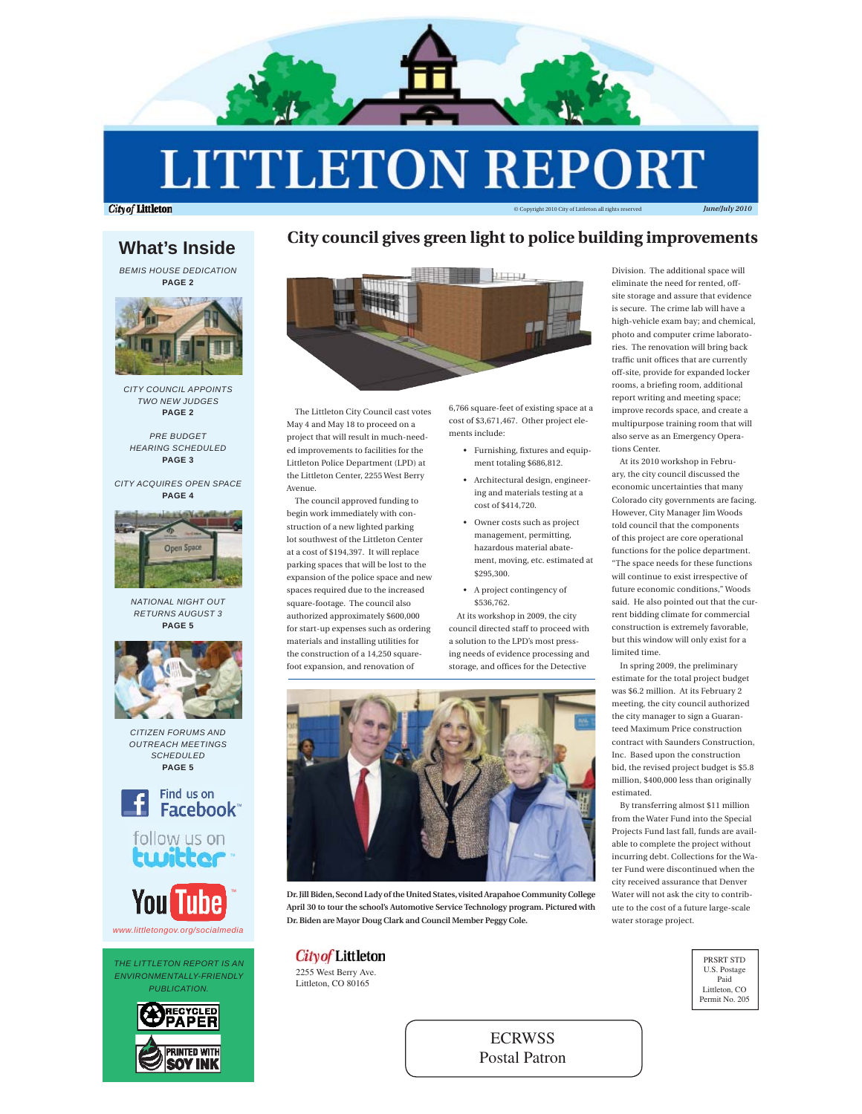

# **LITTLETON REPORT**

**City of Littleton** 

## **What's Inside**

*BEMIS HOUSE DEDICATION*  **PAGE 2**



*CITY COUNCIL APPOINTS TWO NEW JUDGES* **PAGE 2**

*PRE BUDGET HEARING SCHEDULED* **PAGE 3**

*CITY ACQUIRES OPEN SPACE* **PAGE 4**



*NATIONAL NIGHT OUT RETURNS AUGUST 3* **PAGE 5**









*THE LITTLETON REPORT IS AN ENVIRONMENTALLY-FRIENDLY PUBLICATION.*



## **City council gives green light to police building improvements**



The Littleton City Council cast votes May 4 and May 18 to proceed on a project that will result in much-needed improvements to facilities for the Littleton Police Department (LPD) at the Littleton Center, 2255 West Berry Avenue.

The council approved funding to begin work immediately with construction of a new lighted parking lot southwest of the Littleton Center at a cost of \$194,397. It will replace parking spaces that will be lost to the expansion of the police space and new spaces required due to the increased square-footage. The council also authorized approximately \$600,000 for start-up expenses such as ordering materials and installing utilities for the construction of a 14,250 squarefoot expansion, and renovation of

6,766 square-feet of existing space at a cost of \$3,671,467. Other project elements include:

- Furnishing, fixtures and equipment totaling \$686,812.
- Architectural design, engineering and materials testing at a cost of \$414,720.
- Owner costs such as project management, permitting, hazardous material abatement, moving, etc. estimated at \$295,300.
- A project contingency of \$536,762.

At its workshop in 2009, the city council directed staff to proceed with a solution to the LPD's most pressing needs of evidence processing and storage, and offices for the Detective



**Dr. Jill Biden, Second Lady of the United States, visited Arapahoe Community College April 30 to tour the school's Automotive Service Technology program. Pictured with Dr. Biden are Mayor Doug Clark and Council Member Peggy Cole.**

## **City of Littleton**

2255 West Berry Ave. Littleton, CO 80165

Division. The additional space will eliminate the need for rented, offsite storage and assure that evidence is secure. The crime lab will have a high-vehicle exam bay; and chemical, photo and computer crime laboratories. The renovation will bring back traffic unit offices that are currently off-site, provide for expanded locker rooms, a briefing room, additional report writing and meeting space; improve records space, and create a multipurpose training room that will also serve as an Emergency Operations Center.

© Copyright 2010 City of Littleton all rights reserved *June/July 2010*

At its 2010 workshop in February, the city council discussed the economic uncertainties that many Colorado city governments are facing. However, City Manager Jim Woods told council that the components of this project are core operational functions for the police department. "The space needs for these functions will continue to exist irrespective of future economic conditions," Woods said. He also pointed out that the current bidding climate for commercial construction is extremely favorable, but this window will only exist for a limited time.

In spring 2009, the preliminary estimate for the total project budget was \$6.2 million. At its February 2 meeting, the city council authorized the city manager to sign a Guaranteed Maximum Price construction contract with Saunders Construction, Inc. Based upon the construction bid, the revised project budget is \$5.8 million, \$400,000 less than originally estimated.

By transferring almost \$11 million from the Water Fund into the Special Projects Fund last fall, funds are available to complete the project without incurring debt. Collections for the Water Fund were discontinued when the city received assurance that Denver Water will not ask the city to contribute to the cost of a future large-scale water storage project.



ECRWSS Postal Patron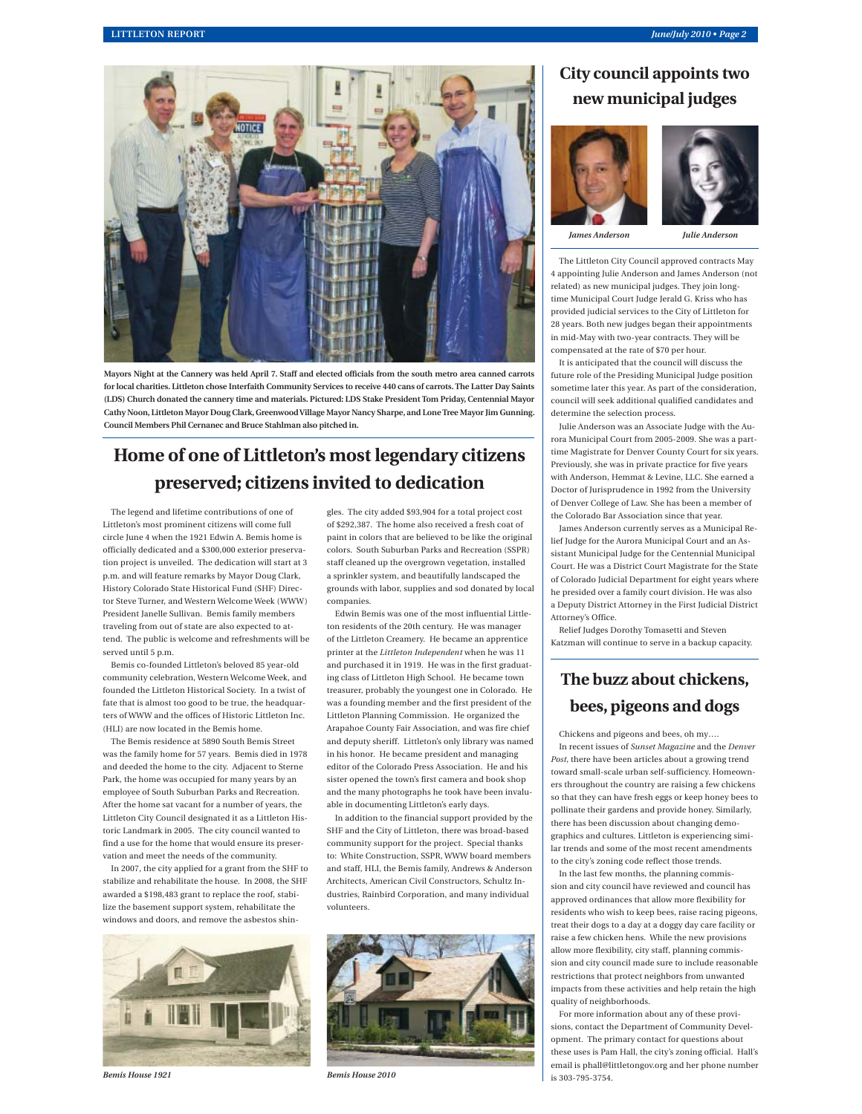

Mayors Night at the Cannery was held April 7. Staff and elected officials from the south metro area canned carrots **for local charities. Littleton chose Interfaith Community Services to receive 440 cans of carrots. The Latter Day Saints (LDS) Church donated the cannery time and materials. Pictured: LDS Stake President Tom Priday, Centennial Mayor Cathy Noon, Littleton Mayor Doug Clark, Greenwood Village Mayor Nancy Sharpe, and Lone Tree Mayor Jim Gunning. Council Members Phil Cernanec and Bruce Stahlman also pitched in.**

## **Home of one of Littleton's most legendary citizens preserved; citizens invited to dedication**

The legend and lifetime contributions of one of Littleton's most prominent citizens will come full circle June 4 when the 1921 Edwin A. Bemis home is officially dedicated and a \$300,000 exterior preservation project is unveiled. The dedication will start at 3 p.m. and will feature remarks by Mayor Doug Clark, History Colorado State Historical Fund (SHF) Director Steve Turner, and Western Welcome Week (WWW) President Janelle Sullivan. Bemis family members traveling from out of state are also expected to attend. The public is welcome and refreshments will be served until 5 p.m.

Bemis co-founded Littleton's beloved 85 year-old community celebration, Western Welcome Week, and founded the Littleton Historical Society. In a twist of fate that is almost too good to be true, the headquarters of WWW and the offices of Historic Littleton Inc. (HLI) are now located in the Bemis home.

The Bemis residence at 5890 South Bemis Street was the family home for 57 years. Bemis died in 1978 and deeded the home to the city. Adjacent to Sterne Park, the home was occupied for many years by an employee of South Suburban Parks and Recreation. After the home sat vacant for a number of years, the Littleton City Council designated it as a Littleton Historic Landmark in 2005. The city council wanted to find a use for the home that would ensure its preservation and meet the needs of the community.

In 2007, the city applied for a grant from the SHF to stabilize and rehabilitate the house. In 2008, the SHF awarded a \$198,483 grant to replace the roof, stabilize the basement support system, rehabilitate the windows and doors, and remove the asbestos shin-



gles. The city added \$93,904 for a total project cost of \$292,387. The home also received a fresh coat of paint in colors that are believed to be like the original colors. South Suburban Parks and Recreation (SSPR) staff cleaned up the overgrown vegetation, installed a sprinkler system, and beautifully landscaped the grounds with labor, supplies and sod donated by local companies.

Edwin Bemis was one of the most influential Littleton residents of the 20th century. He was manager of the Littleton Creamery. He became an apprentice printer at the *Littleton Independent* when he was 11 and purchased it in 1919. He was in the first graduating class of Littleton High School. He became town treasurer, probably the youngest one in Colorado. He was a founding member and the first president of the Littleton Planning Commission. He organized the Arapahoe County Fair Association, and was fire chief and deputy sheriff. Littleton's only library was named in his honor. He became president and managing editor of the Colorado Press Association. He and his sister opened the town's first camera and book shop and the many photographs he took have been invaluable in documenting Littleton's early days.

In addition to the financial support provided by the SHF and the City of Littleton, there was broad-based community support for the project. Special thanks to: White Construction, SSPR, WWW board members and staff, HLI, the Bemis family, Andrews & Anderson Architects, American Civil Constructors, Schultz Industries, Rainbird Corporation, and many individual volunteers.



## **City council appoints two new municipal judges**





*James Anderson Julie Anderson*

The Littleton City Council approved contracts May 4 appointing Julie Anderson and James Anderson (not related) as new municipal judges. They join longtime Municipal Court Judge Jerald G. Kriss who has provided judicial services to the City of Littleton for 28 years. Both new judges began their appointments in mid-May with two-year contracts. They will be compensated at the rate of \$70 per hour.

It is anticipated that the council will discuss the future role of the Presiding Municipal Judge position sometime later this year. As part of the consideration, council will seek additional qualified candidates and determine the selection process.

Julie Anderson was an Associate Judge with the Aurora Municipal Court from 2005-2009. She was a parttime Magistrate for Denver County Court for six years. Previously, she was in private practice for five years with Anderson, Hemmat & Levine, LLC. She earned a Doctor of Jurisprudence in 1992 from the University of Denver College of Law. She has been a member of the Colorado Bar Association since that year.

James Anderson currently serves as a Municipal Relief Judge for the Aurora Municipal Court and an Assistant Municipal Judge for the Centennial Municipal Court. He was a District Court Magistrate for the State of Colorado Judicial Department for eight years where he presided over a family court division. He was also a Deputy District Attorney in the First Judicial District Attorney's Office.

Relief Judges Dorothy Tomasetti and Steven Katzman will continue to serve in a backup capacity.

## **The buzz about chickens, bees, pigeons and dogs**

Chickens and pigeons and bees, oh my….

In recent issues of *Sunset Magazine* and the *Denver Post,* there have been articles about a growing trend toward small-scale urban self-sufficiency. Homeowners throughout the country are raising a few chickens so that they can have fresh eggs or keep honey bees to pollinate their gardens and provide honey. Similarly, there has been discussion about changing demographics and cultures. Littleton is experiencing similar trends and some of the most recent amendments to the city's zoning code reflect those trends.

In the last few months, the planning commission and city council have reviewed and council has approved ordinances that allow more flexibility for residents who wish to keep bees, raise racing pigeons, treat their dogs to a day at a doggy day care facility or raise a few chicken hens. While the new provisions allow more flexibility, city staff, planning commission and city council made sure to include reasonable restrictions that protect neighbors from unwanted impacts from these activities and help retain the high quality of neighborhoods.

For more information about any of these provisions, contact the Department of Community Development. The primary contact for questions about these uses is Pam Hall, the city's zoning official. Hall's email is phall@littletongov.org and her phone number is 303-795-3754.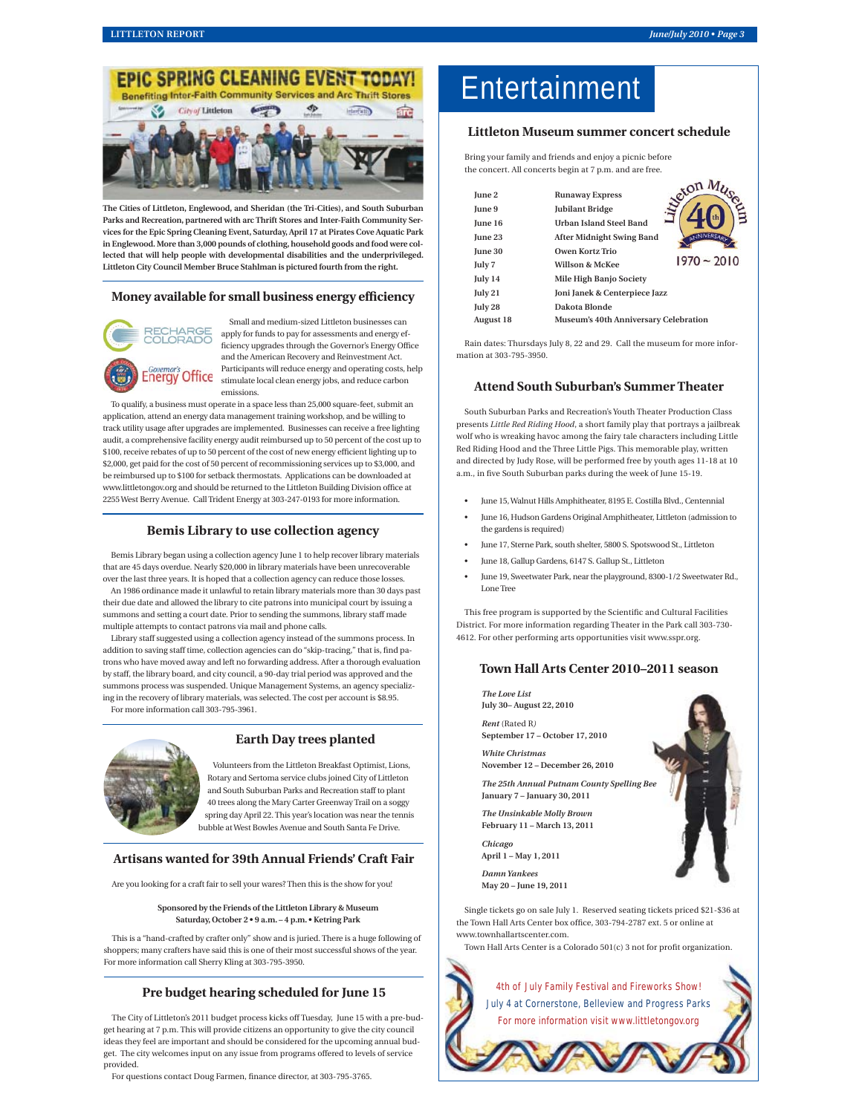

**The Cities of Littleton, Englewood, and Sheridan (the Tri-Cities), and South Suburban Parks and Recreation, partnered with arc Thrift Stores and Inter-Faith Community Services for the Epic Spring Cleaning Event, Saturday, April 17 at Pirates Cove Aquatic Park in Englewood. More than 3,000 pounds of clothing, household goods and food were collected that will help people with developmental disabilities and the underprivileged. Littleton City Council Member Bruce Stahlman is pictured fourth from the right.** 

#### **Money available for small business energy efficiency**



Small and medium-sized Littleton businesses can apply for funds to pay for assessments and energy efficiency upgrades through the Governor's Energy Office and the American Recovery and Reinvestment Act. Participants will reduce energy and operating costs, help stimulate local clean energy jobs, and reduce carbon emissions.

To qualify, a business must operate in a space less than 25,000 square-feet, submit an application, attend an energy data management training workshop, and be willing to track utility usage after upgrades are implemented. Businesses can receive a free lighting audit, a comprehensive facility energy audit reimbursed up to 50 percent of the cost up to \$100, receive rebates of up to 50 percent of the cost of new energy efficient lighting up to \$2,000, get paid for the cost of 50 percent of recommissioning services up to \$3,000, and be reimbursed up to \$100 for setback thermostats. Applications can be downloaded at www.littletongov.org and should be returned to the Littleton Building Division office at 2255 West Berry Avenue. Call Trident Energy at 303-247-0193 for more information.

#### **Bemis Library to use collection agency**

Bemis Library began using a collection agency June 1 to help recover library materials that are 45 days overdue. Nearly \$20,000 in library materials have been unrecoverable over the last three years. It is hoped that a collection agency can reduce those losses.

An 1986 ordinance made it unlawful to retain library materials more than 30 days past their due date and allowed the library to cite patrons into municipal court by issuing a summons and setting a court date. Prior to sending the summons, library staff made multiple attempts to contact patrons via mail and phone calls.

Library staff suggested using a collection agency instead of the summons process. In addition to saving staff time, collection agencies can do "skip-tracing," that is, find patrons who have moved away and left no forwarding address. After a thorough evaluation by staff, the library board, and city council, a 90-day trial period was approved and the summons process was suspended. Unique Management Systems, an agency specializing in the recovery of library materials, was selected. The cost per account is \$8.95. For more information call 303-795-3961.



#### **Earth Day trees planted**

Volunteers from the Littleton Breakfast Optimist, Lions, Rotary and Sertoma service clubs joined City of Littleton and South Suburban Parks and Recreation staff to plant 40 trees along the Mary Carter Greenway Trail on a soggy spring day April 22. This year's location was near the tennis bubble at West Bowles Avenue and South Santa Fe Drive.

#### **Artisans wanted for 39th Annual Friends' Craft Fair**

Are you looking for a craft fair to sell your wares? Then this is the show for you!

**Sponsored by the Friends of the Littleton Library & Museum Saturday, October 2 • 9 a.m. – 4 p.m. • Ketring Park**

This is a "hand-crafted by crafter only" show and is juried. There is a huge following of shoppers; many crafters have said this is one of their most successful shows of the year. For more information call Sherry Kling at 303-795-3950.

#### **Pre budget hearing scheduled for June 15**

The City of Littleton's 2011 budget process kicks off Tuesday, June 15 with a pre-budget hearing at 7 p.m. This will provide citizens an opportunity to give the city council ideas they feel are important and should be considered for the upcoming annual budget. The city welcomes input on any issue from programs offered to levels of service provided.

For questions contact Doug Farmen, finance director, at 303-795-3765.

## Entertainment

#### **Littleton Museum summer concert schedule**

Bring your family and friends and enjoy a picnic before the concert. All concerts begin at 7 p.m. and are free.

| June 2           | reton<br><b>Runaway Express</b>                      |  |
|------------------|------------------------------------------------------|--|
| June 9           | <b>Jubilant Bridge</b>                               |  |
| June 16          | <b>Urban Island Steel Band</b>                       |  |
| <b>June 23</b>   | <b>JNIVERSAD</b><br><b>After Midnight Swing Band</b> |  |
| June 30          | Owen Kortz Trio                                      |  |
| July 7           | $1970 - 2010$<br>Willson & McKee                     |  |
| July 14          | Mile High Banjo Society                              |  |
| July 21          | Joni Janek & Centerpiece Jazz                        |  |
| July 28          | Dakota Blonde                                        |  |
| <b>August 18</b> | Museum's 40th Anniversary Celebration                |  |

Rain dates: Thursdays July 8, 22 and 29. Call the museum for more information at 303-795-3950.

#### **Attend South Suburban's Summer Theater**

South Suburban Parks and Recreation's Youth Theater Production Class presents *Little Red Riding Hood*, a short family play that portrays a jailbreak wolf who is wreaking havoc among the fairy tale characters including Little Red Riding Hood and the Three Little Pigs. This memorable play, written and directed by Judy Rose, will be performed free by youth ages 11-18 at 10 a.m., in five South Suburban parks during the week of June 15-19.

- June 15, Walnut Hills Amphitheater, 8195 E. Costilla Blvd., Centennial
- June 16, Hudson Gardens Original Amphitheater, Littleton (admission to the gardens is required)
- June 17, Sterne Park, south shelter, 5800 S. Spotswood St., Littleton
- June 18, Gallup Gardens, 6147 S. Gallup St., Littleton
- June 19, Sweetwater Park, near the playground, 8300-1/2 Sweetwater Rd., Lone Tree

This free program is supported by the Scientific and Cultural Facilities District. For more information regarding Theater in the Park call 303-730- 4612. For other performing arts opportunities visit www.sspr.org.

#### **Town Hall Arts Center 2010–2011 season**

*The Love List* **July 30– August 22, 2010**

*Rent* (Rated R*)*  **September 17 – October 17, 2010**

*White Christmas* **November 12 – December 26, 2010**

*The 25th Annual Putnam County Spelling Bee*

**January 7 – January 30, 2011**

*The Unsinkable Molly Brown* **February 11 – March 13, 2011**

*Chicago* **April 1 – May 1, 2011**

*Damn Yankees* **May 20 – June 19, 2011**

Single tickets go on sale July 1. Reserved seating tickets priced \$21-\$36 at the Town Hall Arts Center box office, 303-794-2787 ext. 5 or online at www.townhallartscenter.com.

Town Hall Arts Center is a Colorado 501(c) 3 not for profit organization.

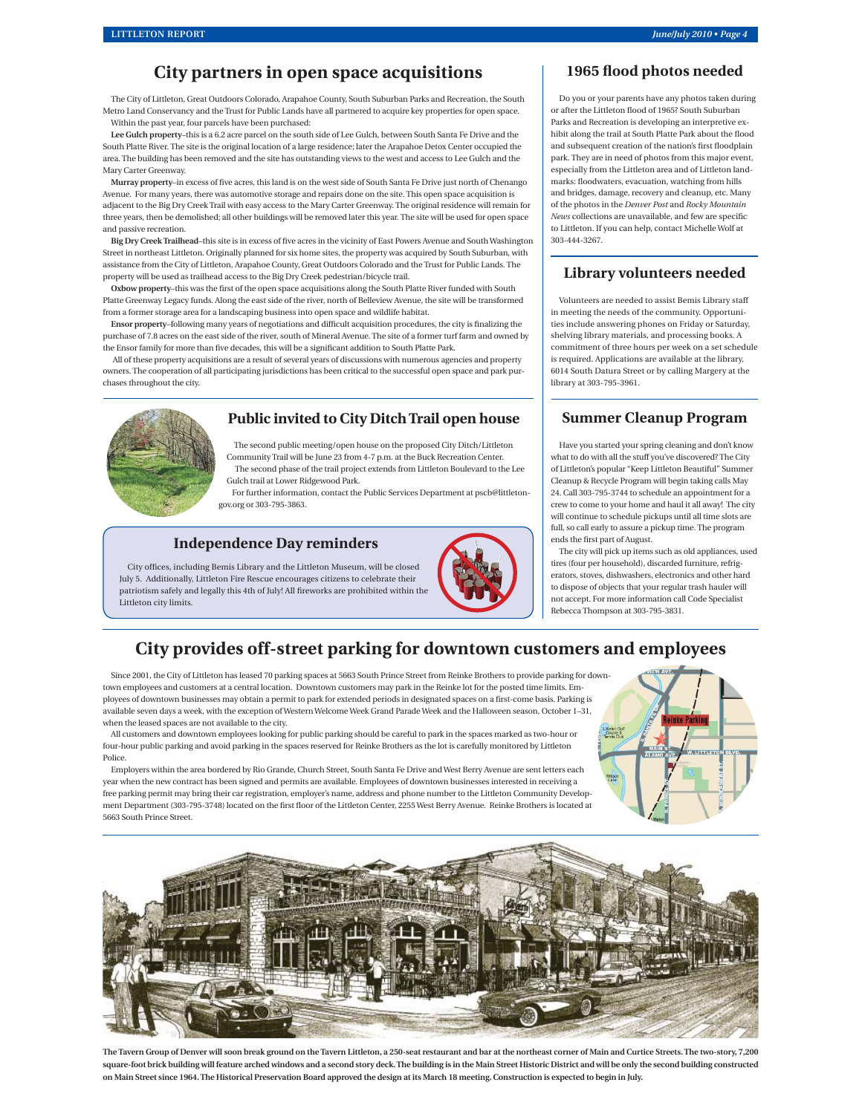## **City partners in open space acquisitions**

The City of Littleton, Great Outdoors Colorado, Arapahoe County, South Suburban Parks and Recreation, the South Metro Land Conservancy and the Trust for Public Lands have all partnered to acquire key properties for open space. Within the past year, four parcels have been purchased:

**Lee Gulch property**–this is a 6.2 acre parcel on the south side of Lee Gulch, between South Santa Fe Drive and the South Platte River. The site is the original location of a large residence; later the Arapahoe Detox Center occupied the area. The building has been removed and the site has outstanding views to the west and access to Lee Gulch and the Mary Carter Greenway.

**Murray property–in excess of five acres, this land is on the west side of South Santa Fe Drive just north of Chenango** Avenue. For many years, there was automotive storage and repairs done on the site. This open space acquisition is adjacent to the Big Dry Creek Trail with easy access to the Mary Carter Greenway. The original residence will remain for three years, then be demolished; all other buildings will be removed later this year. The site will be used for open space and passive recreation.

Big Dry Creek Trailhead-this site is in excess of five acres in the vicinity of East Powers Avenue and South Washington Street in northeast Littleton. Originally planned for six home sites, the property was acquired by South Suburban, with assistance from the City of Littleton, Arapahoe County, Great Outdoors Colorado and the Trust for Public Lands. The property will be used as trailhead access to the Big Dry Creek pedestrian/bicycle trail.

Oxbow property-this was the first of the open space acquisitions along the South Platte River funded with South Platte Greenway Legacy funds. Along the east side of the river, north of Belleview Avenue, the site will be transformed from a former storage area for a landscaping business into open space and wildlife habitat.

Ensor property–following many years of negotiations and difficult acquisition procedures, the city is finalizing the purchase of 7.8 acres on the east side of the river, south of Mineral Avenue. The site of a former turf farm and owned by the Ensor family for more than five decades, this will be a significant addition to South Platte Park.

 All of these property acquisitions are a result of several years of discussions with numerous agencies and property owners. The cooperation of all participating jurisdictions has been critical to the successful open space and park purchases throughout the city.



#### **Public invited to City Ditch Trail open house**

The second public meeting/open house on the proposed City Ditch/Littleton Community Trail will be June 23 from 4-7 p.m. at the Buck Recreation Center. The second phase of the trail project extends from Littleton Boulevard to the Lee Gulch trail at Lower Ridgewood Park.

For further information, contact the Public Services Department at pscb@littletongov.org or 303-795-3863.

#### **Independence Day reminders**

City offices, including Bemis Library and the Littleton Museum, will be closed July 5. Additionally, Littleton Fire Rescue encourages citizens to celebrate their patriotism safely and legally this 4th of July! All fireworks are prohibited within the Littleton city limits.



## 1965 flood photos needed

Do you or your parents have any photos taken during or after the Littleton flood of 1965? South Suburban Parks and Recreation is developing an interpretive exhibit along the trail at South Platte Park about the flood and subsequent creation of the nation's first floodplain park. They are in need of photos from this major event, especially from the Littleton area and of Littleton landmarks: floodwaters, evacuation, watching from hills and bridges, damage, recovery and cleanup, etc. Many of the photos in the *Denver Post* and *Rocky Mountain News* collections are unavailable, and few are specific to Littleton. If you can help, contact Michelle Wolf at 303-444-3267.

#### **Library volunteers needed**

Volunteers are needed to assist Bemis Library staff in meeting the needs of the community. Opportunities include answering phones on Friday or Saturday, shelving library materials, and processing books. A commitment of three hours per week on a set schedule is required. Applications are available at the library, 6014 South Datura Street or by calling Margery at the library at 303-795-3961.

#### **Summer Cleanup Program**

Have you started your spring cleaning and don't know what to do with all the stuff you've discovered? The City of Littleton's popular "Keep Littleton Beautiful" Summer Cleanup & Recycle Program will begin taking calls May 24. Call 303-795-3744 to schedule an appointment for a crew to come to your home and haul it all away! The city will continue to schedule pickups until all time slots are full, so call early to assure a pickup time. The program ends the first part of August.

The city will pick up items such as old appliances, used tires (four per household), discarded furniture, refrigerators, stoves, dishwashers, electronics and other hard to dispose of objects that your regular trash hauler will not accept. For more information call Code Specialist Rebecca Thompson at 303-795-3831.

## **City provides off-street parking for downtown customers and employees**

Since 2001, the City of Littleton has leased 70 parking spaces at 5663 South Prince Street from Reinke Brothers to provide parking for downtown employees and customers at a central location. Downtown customers may park in the Reinke lot for the posted time limits. Employees of downtown businesses may obtain a permit to park for extended periods in designated spaces on a first-come basis. Parking is available seven days a week, with the exception of Western Welcome Week Grand Parade Week and the Halloween season, October 1–31, when the leased spaces are not available to the city.

All customers and downtown employees looking for public parking should be careful to park in the spaces marked as two-hour or four-hour public parking and avoid parking in the spaces reserved for Reinke Brothers as the lot is carefully monitored by Littleton Police.

Employers within the area bordered by Rio Grande, Church Street, South Santa Fe Drive and West Berry Avenue are sent letters each year when the new contract has been signed and permits are available. Employees of downtown businesses interested in receiving a free parking permit may bring their car registration, employer's name, address and phone number to the Littleton Community Development Department (303-795-3748) located on the first floor of the Littleton Center, 2255 West Berry Avenue. Reinke Brothers is located at 5663 South Prince Street.





**The Tavern Group of Denver will soon break ground on the Tavern Littleton, a 250-seat restaurant and bar at the northeast corner of Main and Curtice Streets. The two-story, 7,200 square-foot brick building will feature arched windows and a second story deck. The building is in the Main Street Historic District and will be only the second building constructed on Main Street since 1964. The Historical Preservation Board approved the design at its March 18 meeting. Construction is expected to begin in July.**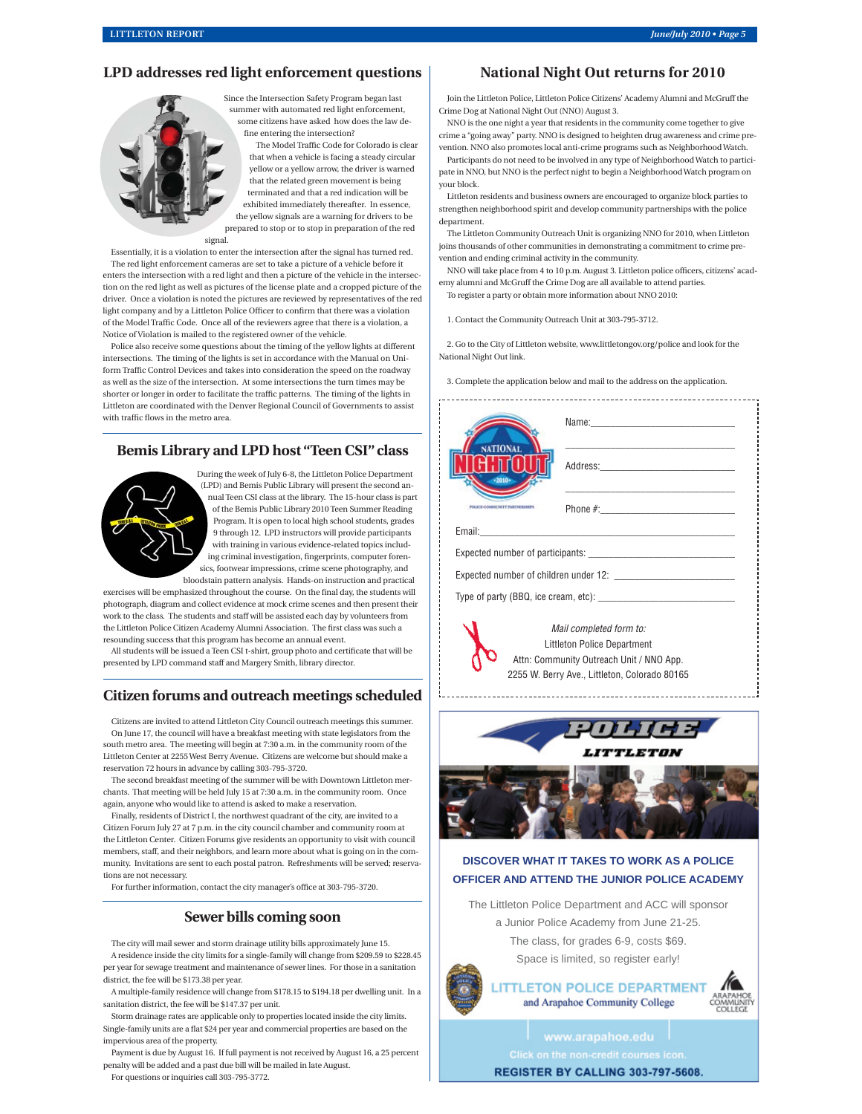#### **LPD addresses red light enforcement questions**

Since the Intersection Safety Program began last summer with automated red light enforcement, some citizens have asked how does the law define entering the intersection?

The Model Traffic Code for Colorado is clear that when a vehicle is facing a steady circular yellow or a yellow arrow, the driver is warned that the related green movement is being terminated and that a red indication will be exhibited immediately thereafter. In essence, the yellow signals are a warning for drivers to be prepared to stop or to stop in preparation of the red

signal.

Essentially, it is a violation to enter the intersection after the signal has turned red. The red light enforcement cameras are set to take a picture of a vehicle before it enters the intersection with a red light and then a picture of the vehicle in the intersection on the red light as well as pictures of the license plate and a cropped picture of the driver. Once a violation is noted the pictures are reviewed by representatives of the red light company and by a Littleton Police Officer to confirm that there was a violation of the Model Traffic Code. Once all of the reviewers agree that there is a violation, a Notice of Violation is mailed to the registered owner of the vehicle.

Police also receive some questions about the timing of the yellow lights at different intersections. The timing of the lights is set in accordance with the Manual on Uniform Traffic Control Devices and takes into consideration the speed on the roadway as well as the size of the intersection. At some intersections the turn times may be shorter or longer in order to facilitate the traffic patterns. The timing of the lights in Littleton are coordinated with the Denver Regional Council of Governments to assist with traffic flows in the metro area.

#### **Bemis Library and LPD host "Teen CSI" class**



During the week of July 6-8, the Littleton Police Department (LPD) and Bemis Public Library will present the second annual Teen CSI class at the library. The 15-hour class is part of the Bemis Public Library 2010 Teen Summer Reading Program. It is open to local high school students, grades 9 through 12. LPD instructors will provide participants with training in various evidence-related topics including criminal investigation, fingerprints, computer forensics, footwear impressions, crime scene photography, and

bloodstain pattern analysis. Hands-on instruction and practical exercises will be emphasized throughout the course. On the final day, the students will photograph, diagram and collect evidence at mock crime scenes and then present their work to the class. The students and staff will be assisted each day by volunteers from the Littleton Police Citizen Academy Alumni Association. The first class was such a resounding success that this program has become an annual event.

All students will be issued a Teen CSI t-shirt, group photo and certificate that will be presented by LPD command staff and Margery Smith, library director.

#### **Citizen forums and outreach meetings scheduled**

Citizens are invited to attend Littleton City Council outreach meetings this summer. On June 17, the council will have a breakfast meeting with state legislators from the south metro area. The meeting will begin at 7:30 a.m. in the community room of the Littleton Center at 2255 West Berry Avenue. Citizens are welcome but should make a reservation 72 hours in advance by calling 303-795-3720.

The second breakfast meeting of the summer will be with Downtown Littleton merchants. That meeting will be held July 15 at 7:30 a.m. in the community room. Once again, anyone who would like to attend is asked to make a reservation.

Finally, residents of District I, the northwest quadrant of the city, are invited to a Citizen Forum July 27 at 7 p.m. in the city council chamber and community room at the Littleton Center. Citizen Forums give residents an opportunity to visit with council members, staff, and their neighbors, and learn more about what is going on in the community. Invitations are sent to each postal patron. Refreshments will be served; reservations are not necessary.

For further information, contact the city manager's office at 303-795-3720.

#### **Sewer bills coming soon**

The city will mail sewer and storm drainage utility bills approximately June 15. A residence inside the city limits for a single-family will change from \$209.59 to \$228.45 per year for sewage treatment and maintenance of sewer lines. For those in a sanitation district, the fee will be \$173.38 per year.

A multiple-family residence will change from \$178.15 to \$194.18 per dwelling unit. In a sanitation district, the fee will be \$147.37 per unit.

Storm drainage rates are applicable only to properties located inside the city limits. Single-family units are a flat \$24 per year and commercial properties are based on the impervious area of the property.

Payment is due by August 16. If full payment is not received by August 16, a 25 percent penalty will be added and a past due bill will be mailed in late August.

For questions or inquiries call 303-795-3772.

#### **National Night Out returns for 2010**

Join the Littleton Police, Littleton Police Citizens' Academy Alumni and McGruff the Crime Dog at National Night Out (NNO) August 3.

NNO is the one night a year that residents in the community come together to give crime a "going away" party. NNO is designed to heighten drug awareness and crime prevention. NNO also promotes local anti-crime programs such as Neighborhood Watch.

Participants do not need to be involved in any type of Neighborhood Watch to participate in NNO, but NNO is the perfect night to begin a Neighborhood Watch program on your block.

Littleton residents and business owners are encouraged to organize block parties to strengthen neighborhood spirit and develop community partnerships with the police department.

The Littleton Community Outreach Unit is organizing NNO for 2010, when Littleton joins thousands of other communities in demonstrating a commitment to crime prevention and ending criminal activity in the community.

NNO will take place from 4 to 10 p.m. August 3. Littleton police officers, citizens' academy alumni and McGruff the Crime Dog are all available to attend parties. To register a party or obtain more information about NNO 2010:

1. Contact the Community Outreach Unit at 303-795-3712.

2. Go to the City of Littleton website, www.littletongov.org/police and look for the National Night Out link.

3. Complete the application below and mail to the address on the application.

| NATIONAL<br>$+2010+$                                   |  |  |  |
|--------------------------------------------------------|--|--|--|
| <b>ECOMMITMITY NETWEENEPS</b>                          |  |  |  |
|                                                        |  |  |  |
|                                                        |  |  |  |
|                                                        |  |  |  |
|                                                        |  |  |  |
| Mail completed form to:<br>Littleton Police Department |  |  |  |

Attn: Community Outreach Unit / NNO App. 2255 W. Berry Ave., Littleton, Colorado 80165



#### **DISCOVER WHAT IT TAKES TO WORK AS A POLICE OFFICER AND ATTEND THE JUNIOR POLICE ACADEMY**

The Littleton Police Department and ACC will sponsor a Junior Police Academy from June 21-25. The class, for grades 6-9, costs \$69.

Space is limited, so register early!



**LITTLETON POLICE DEPARTMENT** and Arapahoe Community College

www.arapahoe.edu

REGISTER BY CALLING 303-797-5608.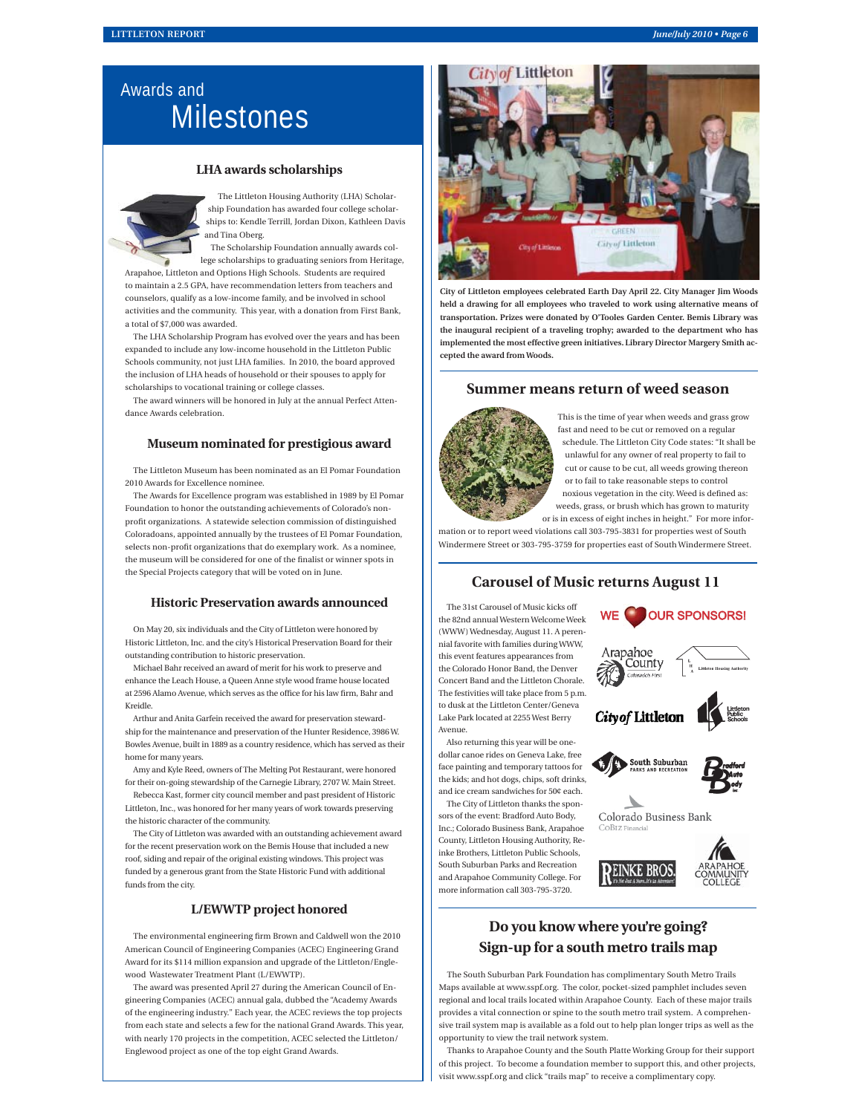## Awards and **Milestones**

#### **LHA awards scholarships**



The Littleton Housing Authority (LHA) Scholarship Foundation has awarded four college scholarships to: Kendle Terrill, Jordan Dixon, Kathleen Davis and Tina Oberg.

The Scholarship Foundation annually awards college scholarships to graduating seniors from Heritage,

Arapahoe, Littleton and Options High Schools. Students are required to maintain a 2.5 GPA, have recommendation letters from teachers and counselors, qualify as a low-income family, and be involved in school activities and the community. This year, with a donation from First Bank, a total of \$7,000 was awarded.

The LHA Scholarship Program has evolved over the years and has been expanded to include any low-income household in the Littleton Public Schools community, not just LHA families. In 2010, the board approved the inclusion of LHA heads of household or their spouses to apply for scholarships to vocational training or college classes.

The award winners will be honored in July at the annual Perfect Attendance Awards celebration.

#### **Museum nominated for prestigious award**

The Littleton Museum has been nominated as an El Pomar Foundation 2010 Awards for Excellence nominee.

The Awards for Excellence program was established in 1989 by El Pomar Foundation to honor the outstanding achievements of Colorado's nonprofit organizations. A statewide selection commission of distinguished Coloradoans, appointed annually by the trustees of El Pomar Foundation, selects non-profit organizations that do exemplary work. As a nominee, the museum will be considered for one of the finalist or winner spots in the Special Projects category that will be voted on in June.

#### **Historic Preservation awards announced**

On May 20, six individuals and the City of Littleton were honored by Historic Littleton, Inc. and the city's Historical Preservation Board for their outstanding contribution to historic preservation.

Michael Bahr received an award of merit for his work to preserve and enhance the Leach House, a Queen Anne style wood frame house located at 2596 Alamo Avenue, which serves as the office for his law firm, Bahr and Kreidle.

Arthur and Anita Garfein received the award for preservation stewardship for the maintenance and preservation of the Hunter Residence, 3986 W. Bowles Avenue, built in 1889 as a country residence, which has served as their home for many years.

Amy and Kyle Reed, owners of The Melting Pot Restaurant, were honored for their on-going stewardship of the Carnegie Library, 2707 W. Main Street.

Rebecca Kast, former city council member and past president of Historic Littleton, Inc., was honored for her many years of work towards preserving the historic character of the community.

The City of Littleton was awarded with an outstanding achievement award for the recent preservation work on the Bemis House that included a new roof, siding and repair of the original existing windows. This project was funded by a generous grant from the State Historic Fund with additional funds from the city.

#### **L/EWWTP project honored**

The environmental engineering firm Brown and Caldwell won the 2010 American Council of Engineering Companies (ACEC) Engineering Grand Award for its \$114 million expansion and upgrade of the Littleton/Englewood Wastewater Treatment Plant (L/EWWTP).

The award was presented April 27 during the American Council of Engineering Companies (ACEC) annual gala, dubbed the "Academy Awards of the engineering industry." Each year, the ACEC reviews the top projects from each state and selects a few for the national Grand Awards. This year, with nearly 170 projects in the competition, ACEC selected the Littleton/ Englewood project as one of the top eight Grand Awards.



**City of Littleton employees celebrated Earth Day April 22. City Manager Jim Woods held a drawing for all employees who traveled to work using alternative means of transportation. Prizes were donated by O'Tooles Garden Center. Bemis Library was the inaugural recipient of a traveling trophy; awarded to the department who has implemented the most effective green initiatives. Library Director Margery Smith accepted the award from Woods.**

#### **Summer means return of weed season**



This is the time of year when weeds and grass grow fast and need to be cut or removed on a regular schedule. The Littleton City Code states: "It shall be unlawful for any owner of real property to fail to cut or cause to be cut, all weeds growing thereon or to fail to take reasonable steps to control noxious vegetation in the city. Weed is defined as:

weeds, grass, or brush which has grown to maturity or is in excess of eight inches in height." For more infor-

mation or to report weed violations call 303-795-3831 for properties west of South Windermere Street or 303-795-3759 for properties east of South Windermere Street.

#### **Carousel of Music returns August 11**

The 31st Carousel of Music kicks off the 82nd annual Western Welcome Week (WWW) Wednesday, August 11. A perennial favorite with families during WWW, this event features appearances from the Colorado Honor Band, the Denver Concert Band and the Littleton Chorale. The festivities will take place from 5 p.m. to dusk at the Littleton Center/Geneva Lake Park located at 2255 West Berry Avenue.

Also returning this year will be onedollar canoe rides on Geneva Lake, free face painting and temporary tattoos for the kids; and hot dogs, chips, soft drinks, and ice cream sandwiches for 50¢ each.

The City of Littleton thanks the sponsors of the event: Bradford Auto Body, Inc.; Colorado Business Bank, Arapahoe County, Littleton Housing Authority, Reinke Brothers, Littleton Public Schools, South Suburban Parks and Recreation and Arapahoe Community College. For

more information call 303-795-3720.



PEINKE BROS

WE **OUR SPONSORS!** 



## **Do you know where you're going? Sign-up for a south metro trails map**

The South Suburban Park Foundation has complimentary South Metro Trails Maps available at www.sspf.org. The color, pocket-sized pamphlet includes seven regional and local trails located within Arapahoe County. Each of these major trails provides a vital connection or spine to the south metro trail system. A comprehensive trail system map is available as a fold out to help plan longer trips as well as the opportunity to view the trail network system.

Thanks to Arapahoe County and the South Platte Working Group for their support of this project. To become a foundation member to support this, and other projects, visit www.sspf.org and click "trails map" to receive a complimentary copy.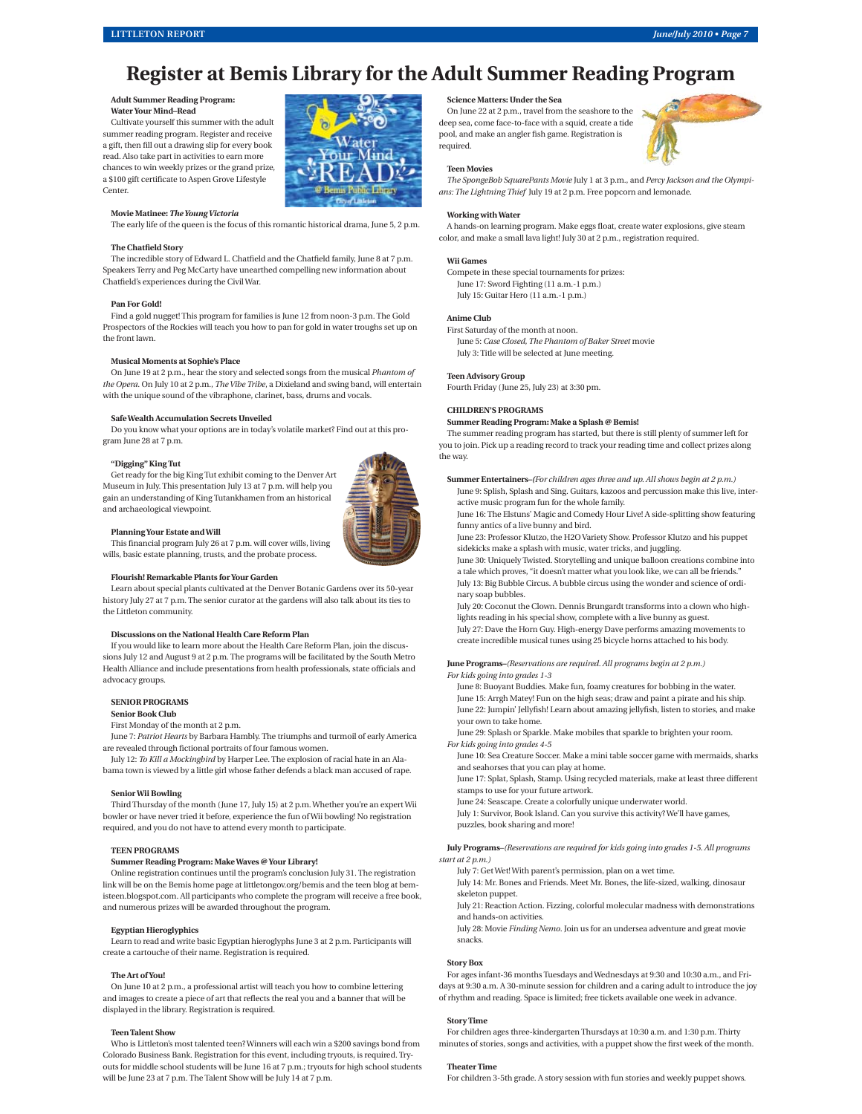## **Register at Bemis Library for the Adult Summer Reading Program**

#### **Adult Summer Reading Program: Water Your Mind–Read**

Cultivate yourself this summer with the adult summer reading program. Register and receive a gift, then fill out a drawing slip for every book read. Also take part in activities to earn more chances to win weekly prizes or the grand prize, a \$100 gift certificate to Aspen Grove Lifestyle Center.

#### **Movie Matinee:** *The Young Victoria*

The early life of the queen is the focus of this romantic historical drama, June 5, 2 p.m.

#### **The Chatfield Story**

The incredible story of Edward L. Chatfield and the Chatfield family, June 8 at 7 p.m. Speakers Terry and Peg McCarty have unearthed compelling new information about Chatfield's experiences during the Civil War.

#### **Pan For Gold!**

Find a gold nugget! This program for families is June 12 from noon-3 p.m. The Gold Prospectors of the Rockies will teach you how to pan for gold in water troughs set up on the front lawn.

#### **Musical Moments at Sophie's Place**

On June 19 at 2 p.m., hear the story and selected songs from the musical *Phantom of the Opera*. On July 10 at 2 p.m., *The Vibe Tribe*, a Dixieland and swing band, will entertain with the unique sound of the vibraphone, clarinet, bass, drums and vocals.

#### **Safe Wealth Accumulation Secrets Unveiled**

Do you know what your options are in today's volatile market? Find out at this program June 28 at 7 p.m.

#### **"Digging" King Tut**

Get ready for the big King Tut exhibit coming to the Denver Art Museum in July. This presentation July 13 at 7 p.m. will help you gain an understanding of King Tutankhamen from an historical <sub>-</sub><br>and archaeological viewpoint.



This financial program July 26 at 7 p.m. will cover wills, living wills, basic estate planning, trusts, and the probate process.

#### **Flourish! Remarkable Plants for Your Garden**

Learn about special plants cultivated at the Denver Botanic Gardens over its 50-year history July 27 at 7 p.m. The senior curator at the gardens will also talk about its ties to the Littleton community.

#### **Discussions on the National Health Care Reform Plan**

If you would like to learn more about the Health Care Reform Plan, join the discussions July 12 and August 9 at 2 p.m. The programs will be facilitated by the South Metro Health Alliance and include presentations from health professionals, state officials and advocacy groups.

#### **SENIOR PROGRAMS**

**Senior Book Club**

First Monday of the month at 2 p.m.

June 7: *Patriot Hearts* by Barbara Hambly. The triumphs and turmoil of early America are revealed through fictional portraits of four famous women.

July 12: *To Kill a Mockingbird* by Harper Lee. The explosion of racial hate in an Alabama town is viewed by a little girl whose father defends a black man accused of rape.

#### **Senior Wii Bowling**

Third Thursday of the month (June 17, July 15) at 2 p.m. Whether you're an expert Wii bowler or have never tried it before, experience the fun of Wii bowling! No registration required, and you do not have to attend every month to participate.

#### **TEEN PROGRAMS**

#### **Summer Reading Program: Make Waves @ Your Library!**

Online registration continues until the program's conclusion July 31. The registration link will be on the Bemis home page at littletongov.org/bemis and the teen blog at bemisteen.blogspot.com. All participants who complete the program will receive a free book, and numerous prizes will be awarded throughout the program.

#### **Egyptian Hieroglyphics**

Learn to read and write basic Egyptian hieroglyphs June 3 at 2 p.m. Participants will create a cartouche of their name. Registration is required.

#### **The Art of You!**

On June 10 at 2 p.m., a professional artist will teach you how to combine lettering and images to create a piece of art that reflects the real you and a banner that will be displayed in the library. Registration is required.

#### **Teen Talent Show**

Who is Littleton's most talented teen? Winners will each win a \$200 savings bond from Colorado Business Bank. Registration for this event, including tryouts, is required. Tryouts for middle school students will be June 16 at 7 p.m.; tryouts for high school students will be June 23 at 7 p.m. The Talent Show will be July 14 at 7 p.m.

#### **Science Matters: Under the Sea**

On June 22 at 2 p.m., travel from the seashore to the deep sea, come face-to-face with a squid, create a tide pool, and make an angler fish game. Registration is required.

#### **Teen Movies**

*The SpongeBob SquarePants Movie* July 1 at 3 p.m., and *Percy Jackson and the Olympians: The Lightning Thief* July 19 at 2 p.m. Free popcorn and lemonade.

#### **Working with Water**

A hands-on learning program. Make eggs float, create water explosions, give steam color, and make a small lava light! July 30 at 2 p.m., registration required.

#### **Wii Games**

Compete in these special tournaments for prizes: June 17: Sword Fighting (11 a.m.-1 p.m.) July 15: Guitar Hero (11 a.m.-1 p.m.)

#### **Anime Club**

First Saturday of the month at noon. June 5: *Case Closed, The Phantom of Baker Street* movie July 3: Title will be selected at June meeting.

#### **Teen Advisory Group**

Fourth Friday (June 25, July 23) at 3:30 pm.

#### **CHILDREN'S PROGRAMS**

#### **Summer Reading Program: Make a Splash @ Bemis!**

The summer reading program has started, but there is still plenty of summer left for you to join. Pick up a reading record to track your reading time and collect prizes along the way.

**Summer Entertainers–***(For children ages three and up. All shows begin at 2 p.m.)* June 9: Splish, Splash and Sing. Guitars, kazoos and percussion make this live, interactive music program fun for the whole family.

June 16: The Elstuns' Magic and Comedy Hour Live! A side-splitting show featuring funny antics of a live bunny and bird.

June 23: Professor Klutzo, the H2O Variety Show. Professor Klutzo and his puppet sidekicks make a splash with music, water tricks, and juggling.

June 30: Uniquely Twisted. Storytelling and unique balloon creations combine into a tale which proves, "it doesn't matter what you look like, we can all be friends." July 13: Big Bubble Circus. A bubble circus using the wonder and science of ordinary soap bubbles.

July 20: Coconut the Clown. Dennis Brungardt transforms into a clown who highlights reading in his special show, complete with a live bunny as guest. July 27: Dave the Horn Guy. High-energy Dave performs amazing movements to create incredible musical tunes using 25 bicycle horns attached to his body.

**June Programs–***(Reservations are required. All programs begin at 2 p.m.) For kids going into grades 1-3*

June 8: Buoyant Buddies. Make fun, foamy creatures for bobbing in the water. June 15: Arrgh Matey! Fun on the high seas; draw and paint a pirate and his ship. June 22: Jumpin' Jellyfish! Learn about amazing jellyfish, listen to stories, and make your own to take home.

June 29: Splash or Sparkle. Make mobiles that sparkle to brighten your room.

*For kids going into grades 4-5* 

June 10: Sea Creature Soccer. Make a mini table soccer game with mermaids, sharks and seahorses that you can play at home

June 17: Splat, Splash, Stamp. Using recycled materials, make at least three different stamps to use for your future artwork.

June 24: Seascape. Create a colorfully unique underwater world.

July 1: Survivor, Book Island. Can you survive this activity? We'll have games, puzzles, book sharing and more!

**July Programs**–*(Reservations are required for kids going into grades 1-5. All programs start at 2 p.m.)*

July 7: Get Wet! With parent's permission, plan on a wet time.

July 14: Mr. Bones and Friends. Meet Mr. Bones, the life-sized, walking, dinosaur skeleton puppet.

July 21: Reaction Action. Fizzing, colorful molecular madness with demonstrations and hands-on activities.

July 28: Movie *Finding Nemo*. Join us for an undersea adventure and great movie snacks.

#### **Story Box**

For ages infant-36 months Tuesdays and Wednesdays at 9:30 and 10:30 a.m., and Fridays at 9:30 a.m. A 30-minute session for children and a caring adult to introduce the joy of rhythm and reading. Space is limited; free tickets available one week in advance.

#### **Story Time**

For children ages three-kindergarten Thursdays at 10:30 a.m. and 1:30 p.m. Thirty minutes of stories, songs and activities, with a puppet show the first week of the month.

#### **Theater Time**

For children 3-5th grade. A story session with fun stories and weekly puppet shows.